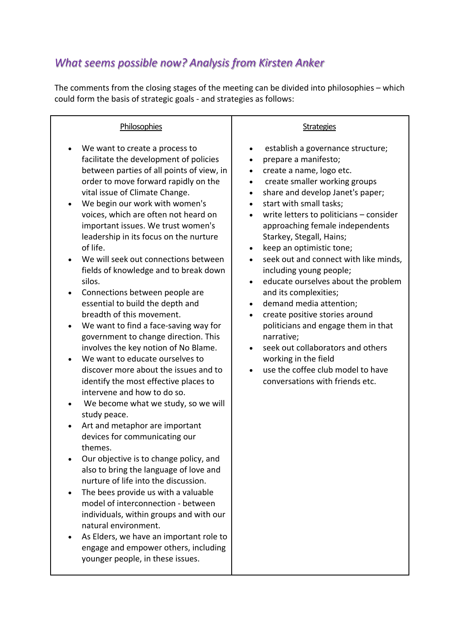## *What seems possible now? Analysis from Kirsten Anker*

The comments from the closing stages of the meeting can be divided into philosophies – which could form the basis of strategic goals - and strategies as follows:

| Philosophies                                                                                                                                                                                                                                                                                                                                                                                                                                                                                                                                                                                                                                                                                                                                                                                                                                                                                                                                                                                                                                                                                                                                                                                                                                                                                                                                                                                                                      | <b>Strategies</b>                                                                                                                                                                                                                                                                                                                                                                                                                                                                                                                                                                                                                                                                                                                                                                                                                                                     |
|-----------------------------------------------------------------------------------------------------------------------------------------------------------------------------------------------------------------------------------------------------------------------------------------------------------------------------------------------------------------------------------------------------------------------------------------------------------------------------------------------------------------------------------------------------------------------------------------------------------------------------------------------------------------------------------------------------------------------------------------------------------------------------------------------------------------------------------------------------------------------------------------------------------------------------------------------------------------------------------------------------------------------------------------------------------------------------------------------------------------------------------------------------------------------------------------------------------------------------------------------------------------------------------------------------------------------------------------------------------------------------------------------------------------------------------|-----------------------------------------------------------------------------------------------------------------------------------------------------------------------------------------------------------------------------------------------------------------------------------------------------------------------------------------------------------------------------------------------------------------------------------------------------------------------------------------------------------------------------------------------------------------------------------------------------------------------------------------------------------------------------------------------------------------------------------------------------------------------------------------------------------------------------------------------------------------------|
| We want to create a process to<br>facilitate the development of policies<br>between parties of all points of view, in<br>order to move forward rapidly on the<br>vital issue of Climate Change.<br>We begin our work with women's<br>voices, which are often not heard on<br>important issues. We trust women's<br>leadership in its focus on the nurture<br>of life.<br>We will seek out connections between<br>fields of knowledge and to break down<br>silos.<br>Connections between people are<br>٠<br>essential to build the depth and<br>breadth of this movement.<br>We want to find a face-saving way for<br>$\bullet$<br>government to change direction. This<br>involves the key notion of No Blame.<br>We want to educate ourselves to<br>discover more about the issues and to<br>identify the most effective places to<br>intervene and how to do so.<br>We become what we study, so we will<br>٠<br>study peace.<br>Art and metaphor are important<br>$\bullet$<br>devices for communicating our<br>themes.<br>Our objective is to change policy, and<br>also to bring the language of love and<br>nurture of life into the discussion.<br>The bees provide us with a valuable<br>٠<br>model of interconnection - between<br>individuals, within groups and with our<br>natural environment.<br>As Elders, we have an important role to<br>engage and empower others, including<br>younger people, in these issues. | establish a governance structure;<br>$\bullet$<br>prepare a manifesto;<br>$\bullet$<br>create a name, logo etc.<br>$\bullet$<br>create smaller working groups<br>$\bullet$<br>share and develop Janet's paper;<br>$\bullet$<br>start with small tasks;<br>$\bullet$<br>write letters to politicians - consider<br>approaching female independents<br>Starkey, Stegall, Hains;<br>keep an optimistic tone;<br>$\bullet$<br>seek out and connect with like minds,<br>including young people;<br>educate ourselves about the problem<br>$\bullet$<br>and its complexities;<br>demand media attention;<br>$\bullet$<br>create positive stories around<br>$\bullet$<br>politicians and engage them in that<br>narrative;<br>seek out collaborators and others<br>$\bullet$<br>working in the field<br>use the coffee club model to have<br>conversations with friends etc. |